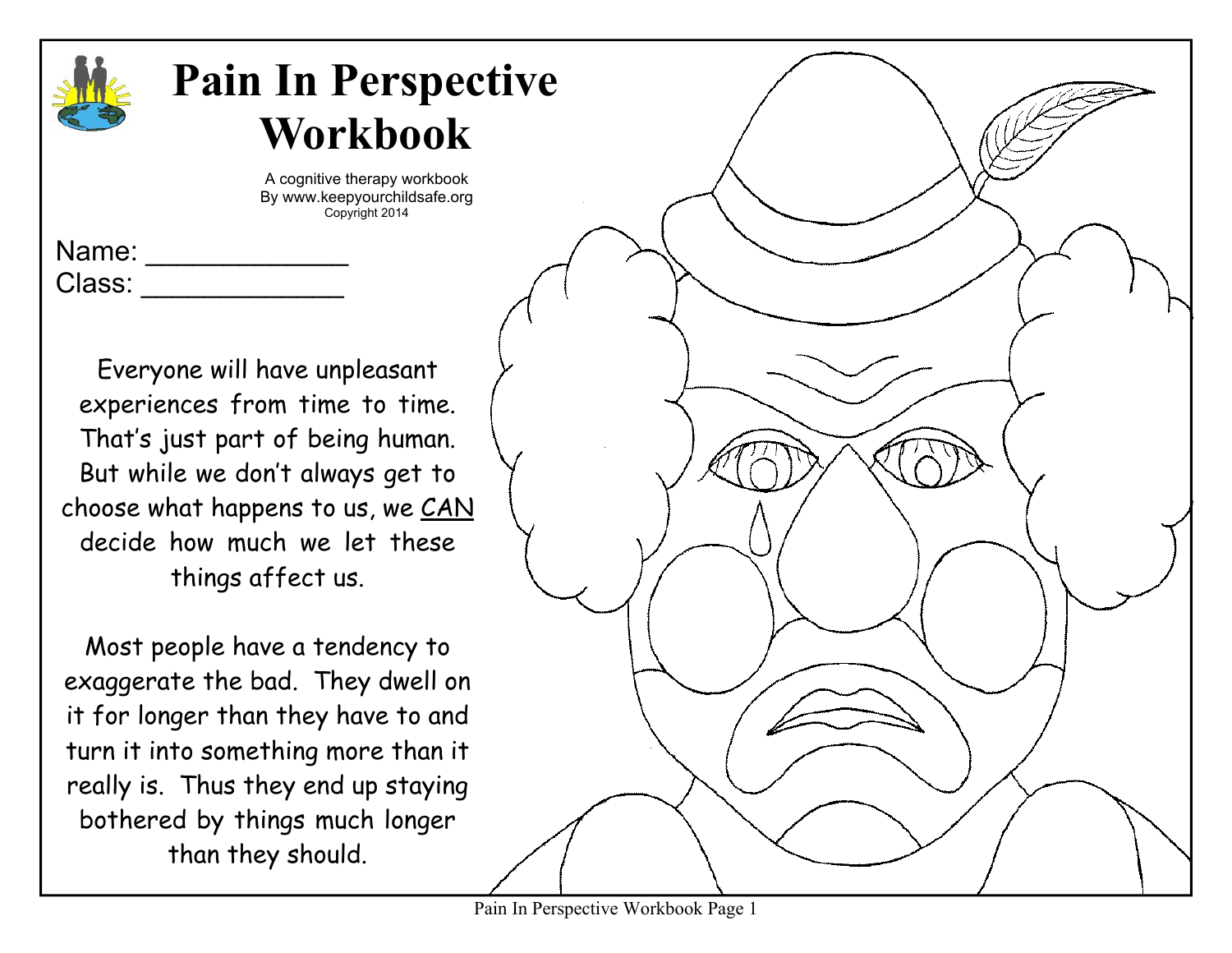

## **Pain In Perspective Workbook**

A cognitive therapy workbook By www.keepyourchildsafe.org Copyright 2014

Name: \_\_\_\_\_\_\_\_\_\_\_\_\_ Class: \_\_\_\_\_\_\_\_\_\_\_\_\_

Everyone will have unpleasant experiences from time to time. That's just part of being human. But while we don't always get to choose what happens to us, we CAN decide how much we let these things affect us.

Most people have a tendency to exaggerate the bad. They dwell on it for longer than they have to and turn it into something more than it really is. Thus they end up staying bothered by things much longer than they should.



Pain In Perspective Workbook Page 1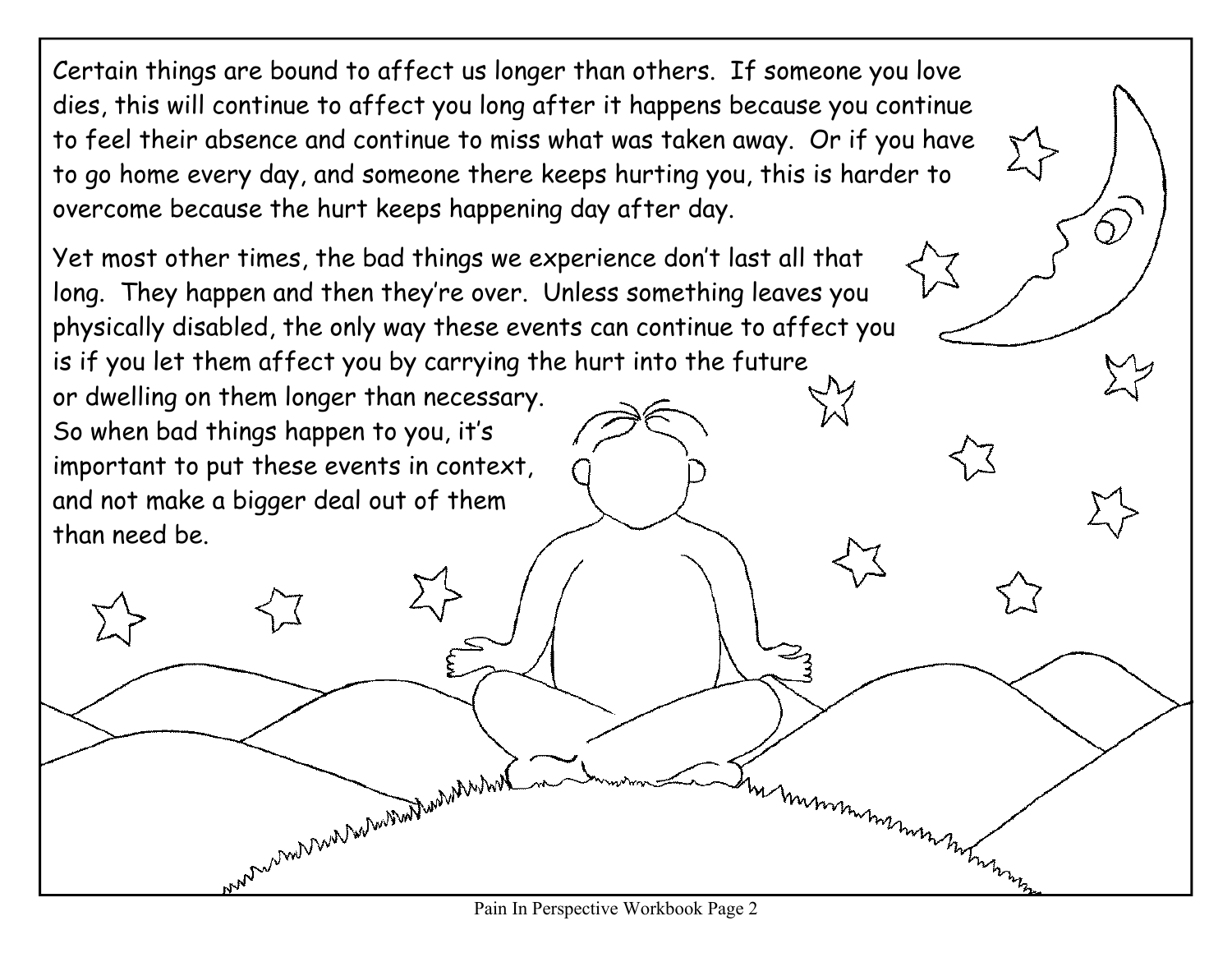Certain things are bound to affect us longer than others. If someone you love dies, this will continue to affect you long after it happens because you continue to feel their absence and continue to miss what was taken away. Or if you have to go home every day, and someone there keeps hurting you, this is harder to overcome because the hurt keeps happening day after day.

Yet most other times, the bad things we experience don't last all that long. They happen and then they're over. Unless something leaves you physically disabled, the only way these events can continue to affect you is if you let them affect you by carrying the hurt into the future or dwelling on them longer than necessary. So when bad things happen to you, it's important to put these events in context, and not make a bigger deal out of them than need be.

Pain In Perspective Workbook Page 2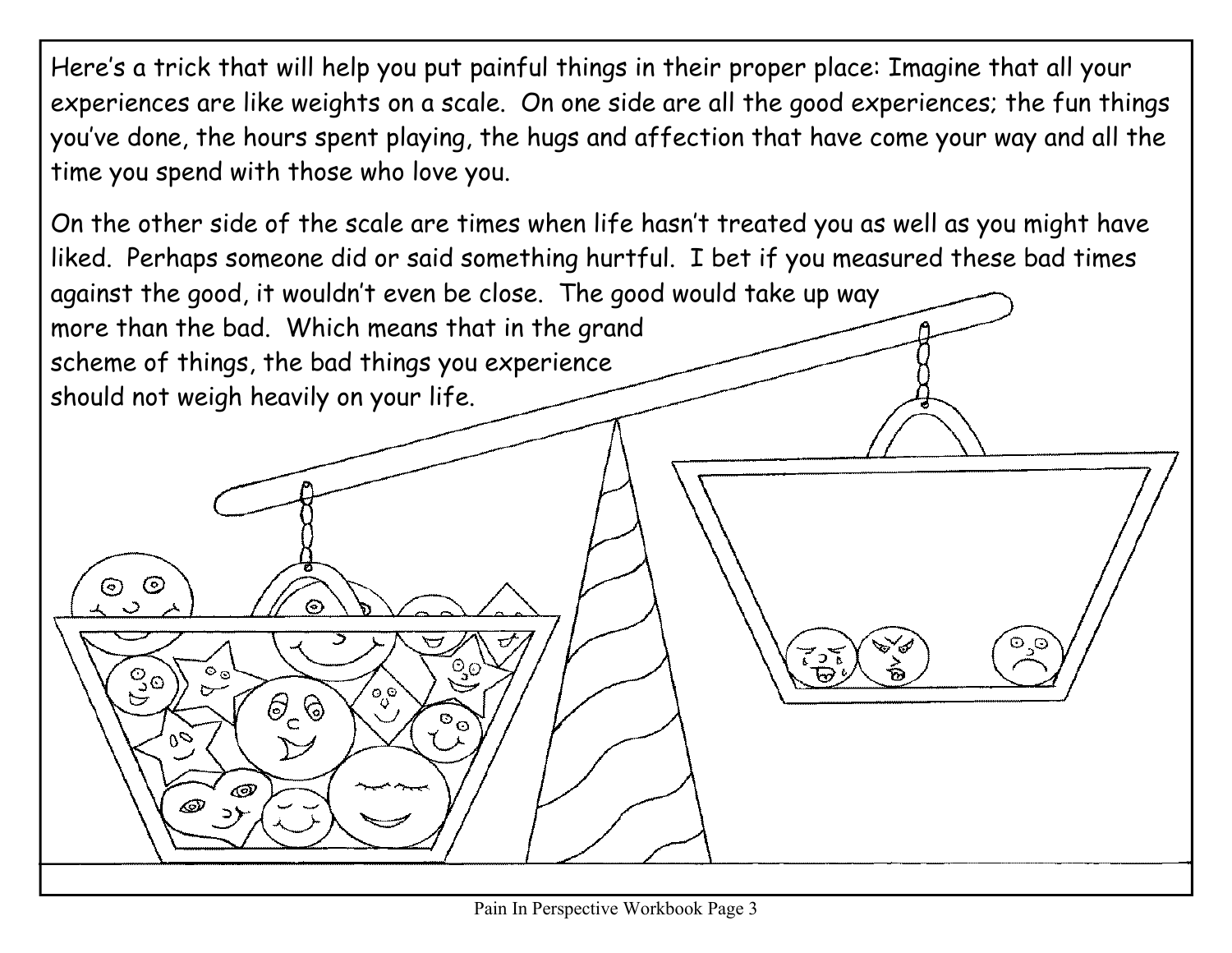Here's a trick that will help you put painful things in their proper place: Imagine that all your experiences are like weights on a scale. On one side are all the good experiences; the fun things you've done, the hours spent playing, the hugs and affection that have come your way and all the time you spend with those who love you.

On the other side of the scale are times when life hasn't treated you as well as you might have liked. Perhaps someone did or said something hurtful. I bet if you measured these bad times against the good, it wouldn't even be close. The good would take up way more than the bad. Which means that in the grand scheme of things, the bad things you experience should not weigh heavily on your life.

- ල

္သိစ

лS

⊙

 $\odot_{\mathbb{C}}$ 

 $\int\limits_{0}^{\infty}$ 

 $\circ_{\alpha} \circ$ 

 $\mathcal{O}_c$ 

কে

ు)

<u>నండ</u>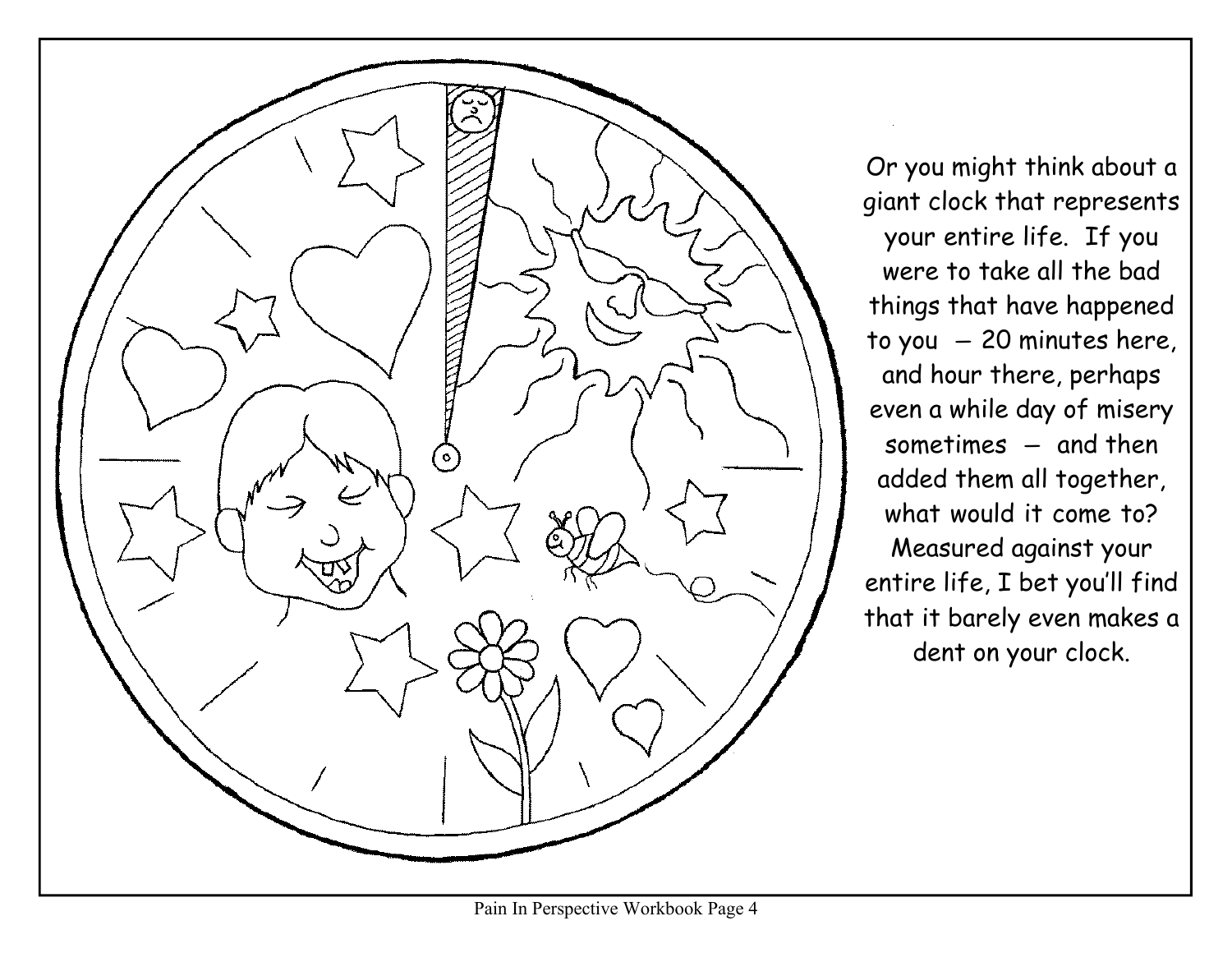

Or you might think about a giant clock that represents your entire life. If you were to take all the bad things that have happened to you  $-20$  minutes here, and hour there, perhaps even a while day of misery sometimes  $-$  and then added them all together, what would it come to? Measured against your entire life, I bet you'll find that it barely even makes a dent on your clock.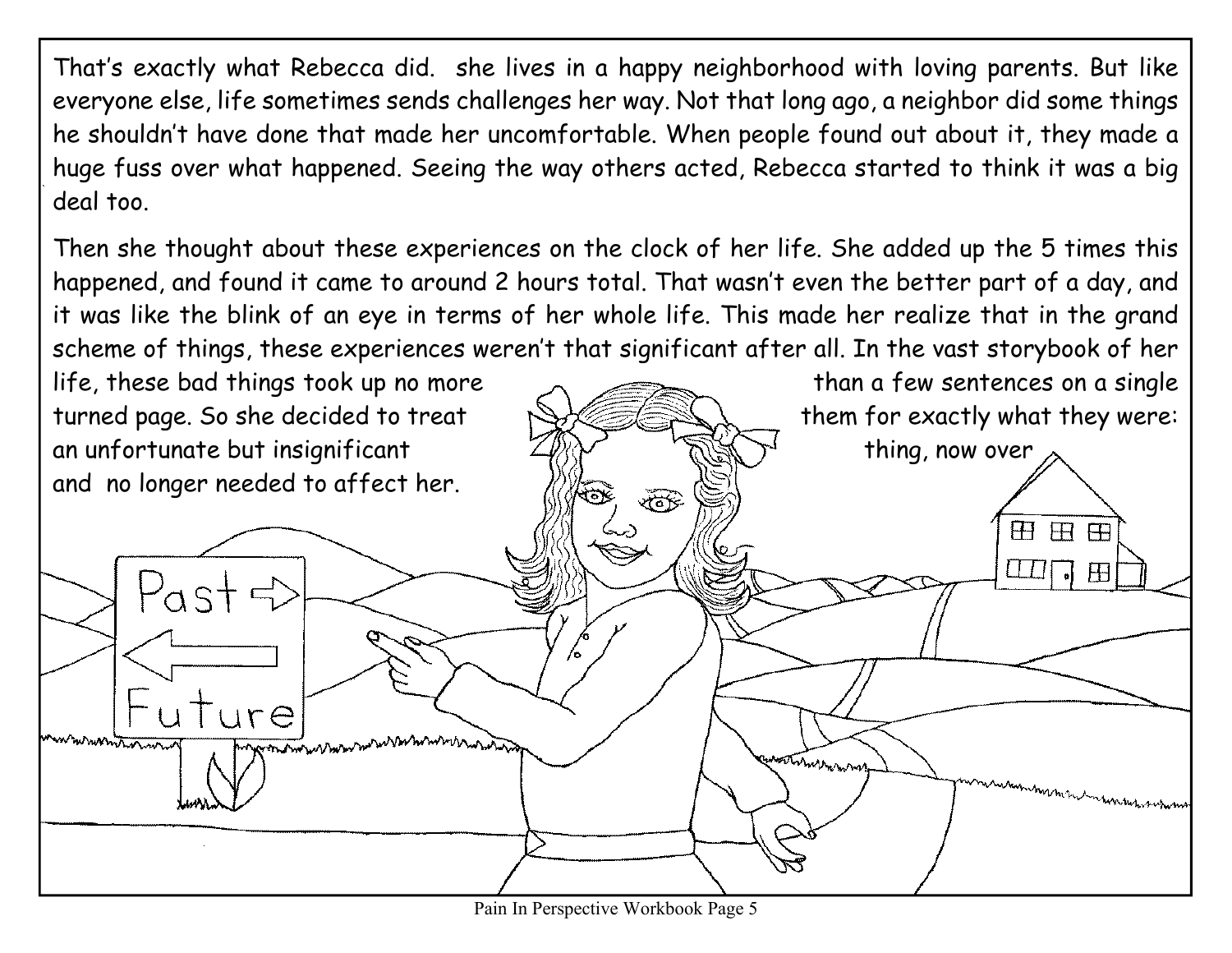That's exactly what Rebecca did. she lives in a happy neighborhood with loving parents. But like everyone else, life sometimes sends challenges her way. Not that long ago, a neighbor did some things he shouldn't have done that made her uncomfortable. When people found out about it, they made a huge fuss over what happened. Seeing the way others acted, Rebecca started to think it was a big deal too.

Then she thought about these experiences on the clock of her life. She added up the 5 times this happened, and found it came to around 2 hours total. That wasn't even the better part of a day, and it was like the blink of an eye in terms of her whole life. This made her realize that in the grand scheme of things, these experiences weren't that significant after all. In the vast storybook of her

ray

waterharin mar

田

田

 $\overline{H}$ 

na hanna hann hanna hanna hanna hanna hanna hanna hanna hanna hanna hanna hanna hanna hanna hanna hanna hanna

life, these bad things took up no more  $\sim$   $\sim$   $\sim$  than a few sentences on a single turned page. So she decided to treat  $\bigotimes$   $\bigotimes$  them for exactly what they were: an unfortunate but insignificant  $Z/\sqrt[3]{\sqrt{2}}$  manus  $Z/\sqrt[3]{\sqrt{2}}$  thing, now over and no longer needed to affect her.

 $Fast$ 

Future

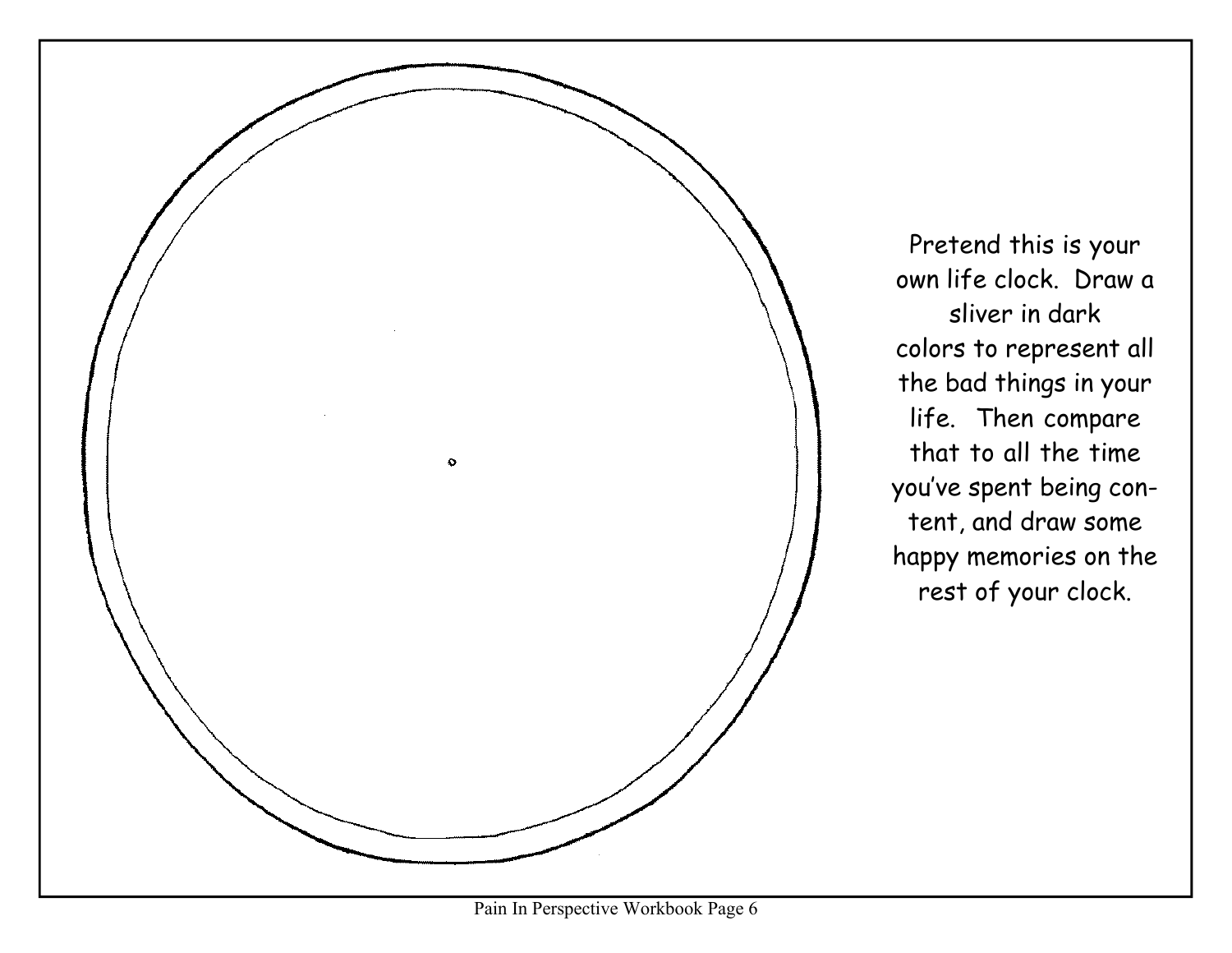

Pretend this is your own life clock. Draw a sliver in dark colors to represent all the bad things in your life. Then compare that to all the time you've spent being con tent, and draw some happy memories on the rest of your clock.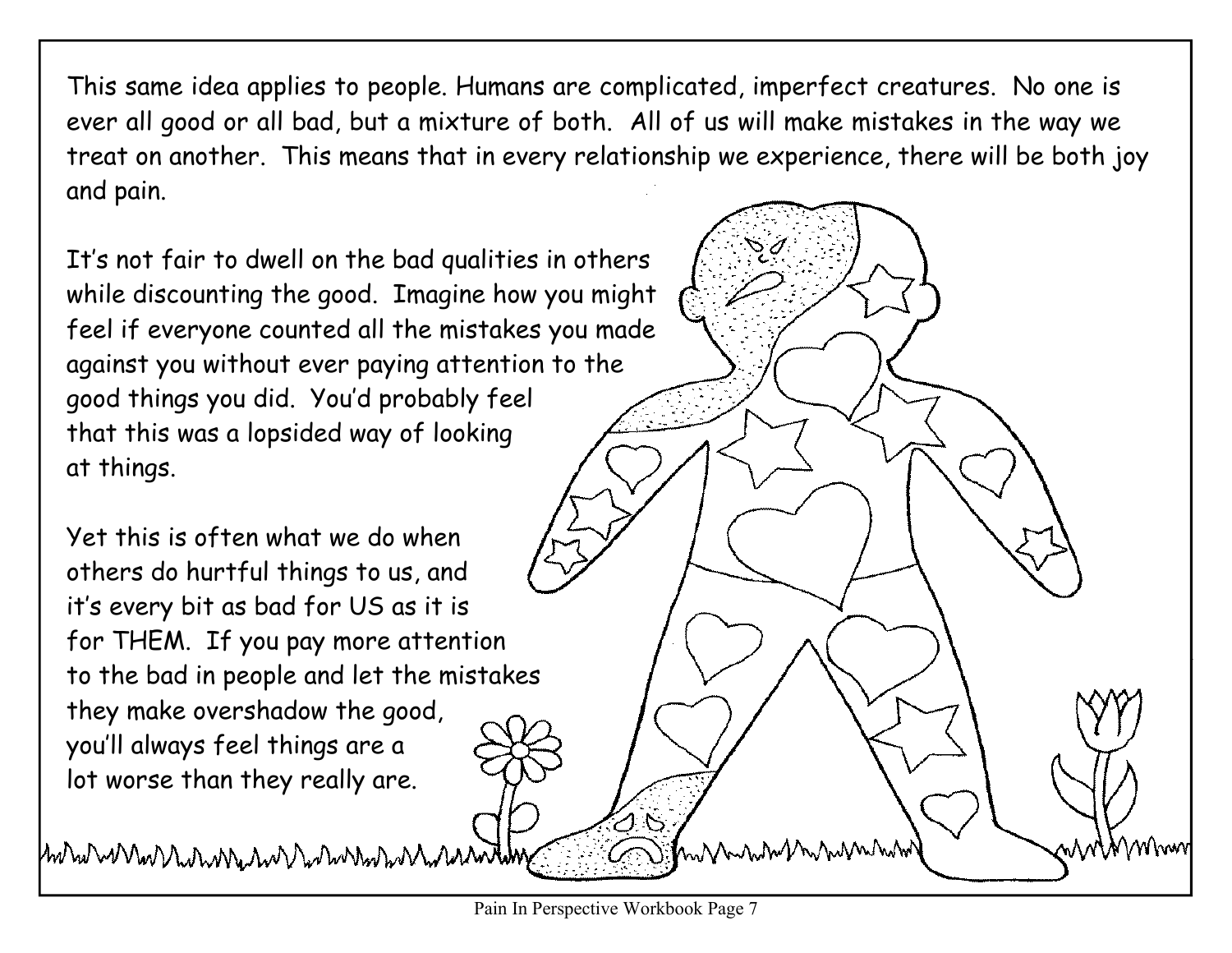This same idea applies to people. Humans are complicated, imperfect creatures. No one is ever all good or all bad, but a mixture of both. All of us will make mistakes in the way we treat on another. This means that in every relationship we experience, there will be both joy and pain.

It's not fair to dwell on the bad qualities in others while discounting the good. Imagine how you might feel if everyone counted all the mistakes you made against you without ever paying attention to the good things you did. You'd probably feel that this was a lopsided way of looking at things.

Yet this is often what we do when others do hurtful things to us, and it's every bit as bad for US as it is for THEM. If you pay more attention to the bad in people and let the mistakes they make overshadow the good, you'll always feel things are a lot worse than they really are.

Muhuhuhhuhhuhhuhhuhhuhhuhhuhhuh

munimmmmmmmm

wwWwm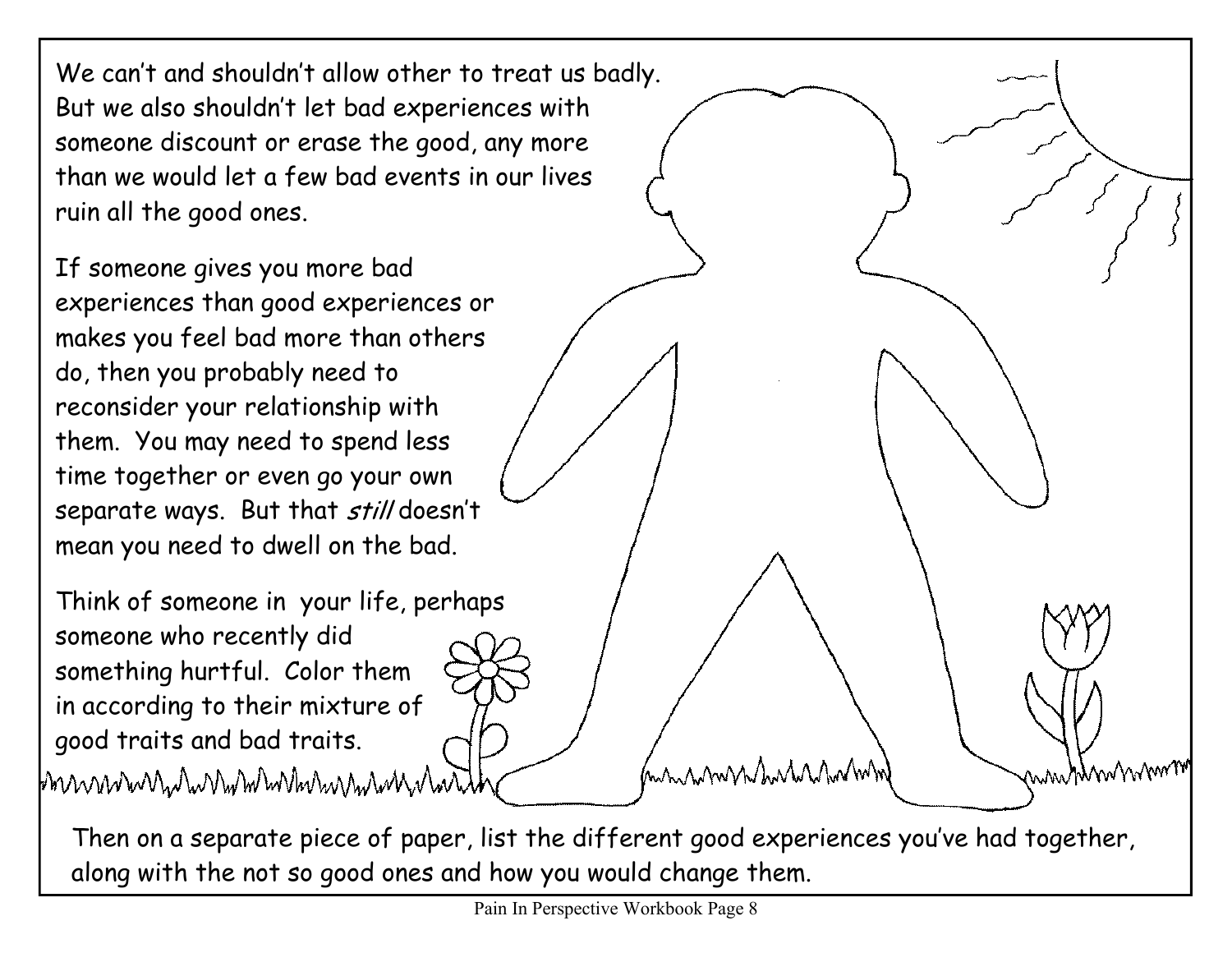We can't and shouldn't allow other to treat us badly. But we also shouldn't let bad experiences with someone discount or erase the good, any more than we would let a few bad events in our lives ruin all the good ones.

If someone gives you more bad experiences than good experiences or makes you feel bad more than others do, then you probably need to reconsider your relationship with them. You may need to spend less time together or even go your own separate ways. But that still doesn't mean you need to dwell on the bad.

Think of someone in your life, perhaps someone who recently did something hurtful. Color them in according to their mixture of good traits and bad traits.

https://www.arthyland.com/walder/

fournmonthlowand how hope

mmhunnmmm

Then on a separate piece of paper, list the different good experiences you've had together, along with the not so good ones and how you would change them.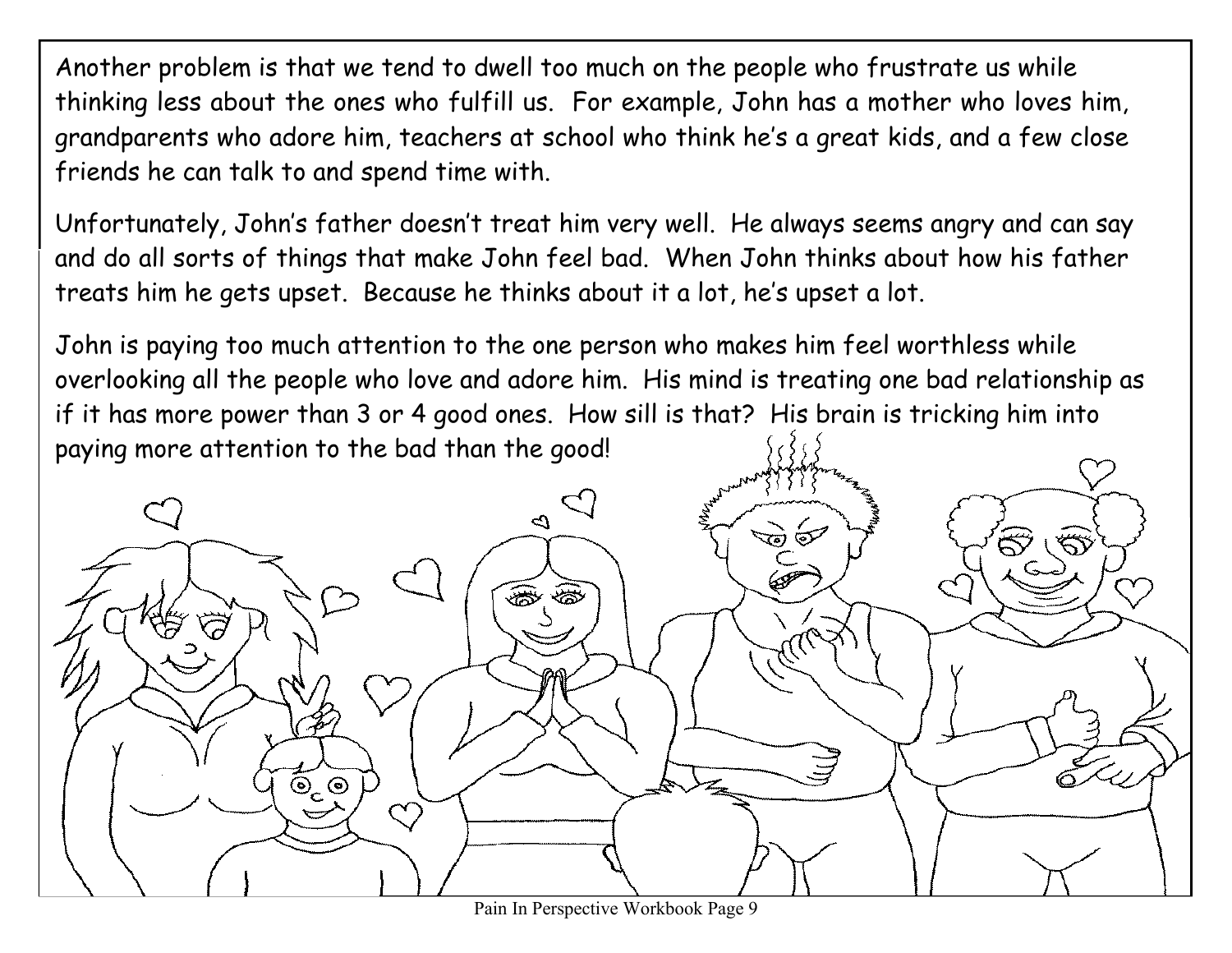Another problem is that we tend to dwell too much on the people who frustrate us while thinking less about the ones who fulfill us. For example, John has a mother who loves him, grandparents who adore him, teachers at school who think he's a great kids, and a few close friends he can talk to and spend time with.

Unfortunately, John's father doesn't treat him very well. He always seems angry and can say and do all sorts of things that make John feel bad. When John thinks about how his father treats him he gets upset. Because he thinks about it a lot, he's upset a lot.

John is paying too much attention to the one person who makes him feel worthless while overlooking all the people who love and adore him. His mind is treating one bad relationship as if it has more power than 3 or 4 good ones. How sill is that? His brain is tricking him into paying more attention to the bad than the good!



Pain In Perspective Workbook Page 9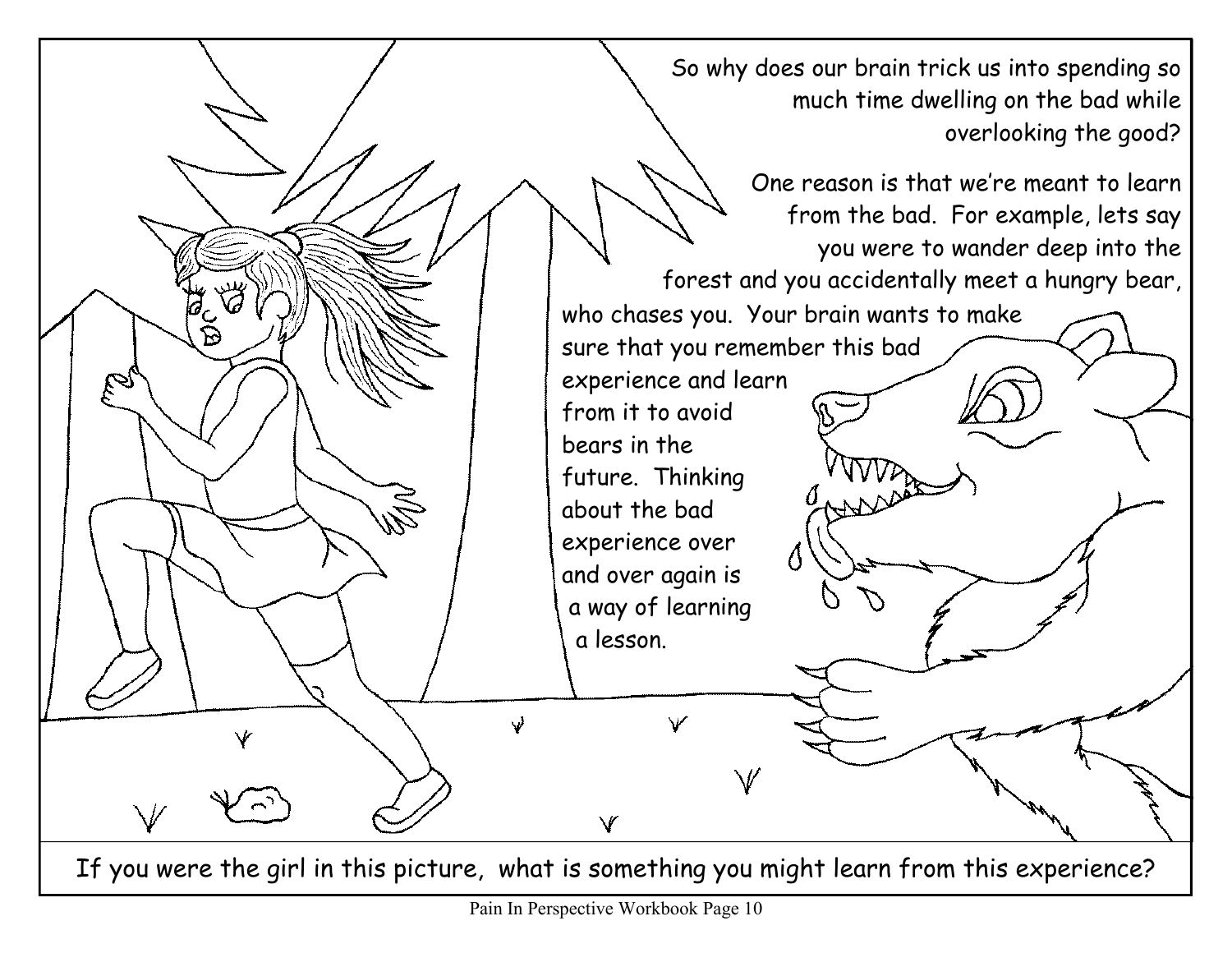

Pain In Perspective Workbook Page 10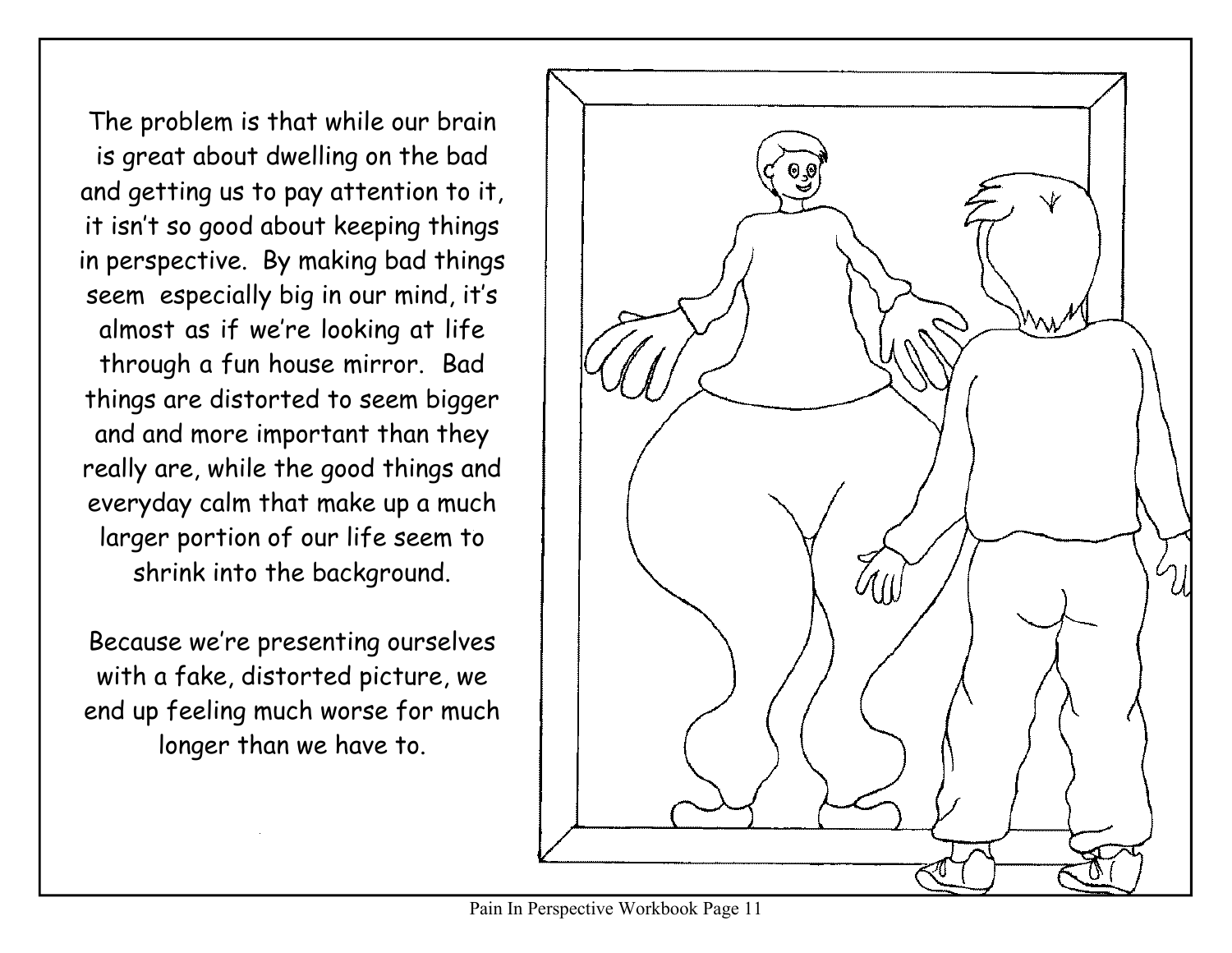The problem is that while our brain is great about dwelling on the bad and getting us to pay attention to it, it isn't so good about keeping things in perspective. By making bad things seem especially big in our mind, it's almost as if we're looking at life through a fun house mirror. Bad things are distorted to seem bigger and and more important than they really are, while the good things and everyday calm that make up a much larger portion of our life seem to shrink into the background.

Because we're presenting ourselves with a fake, distorted picture, we end up feeling much worse for much longer than we have to.